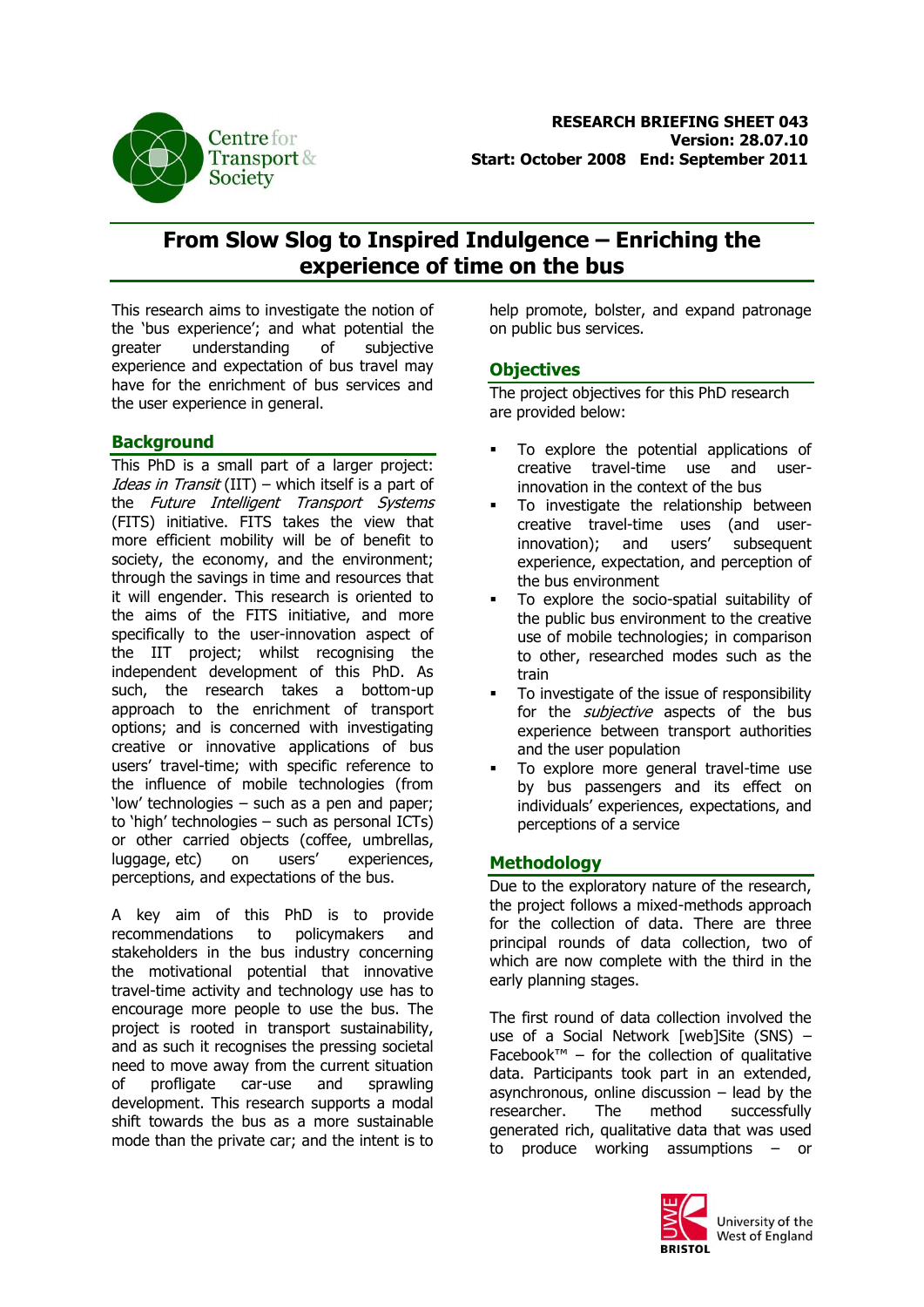

# **From Slow Slog to Inspired Indulgence – Enriching the experience of time on the bus**

This research aims to investigate the notion of the 'bus experience'; and what potential the greater understanding of subjective experience and expectation of bus travel may have for the enrichment of bus services and the user experience in general.

## **Background**

This PhD is a small part of a larger project: Ideas in Transit (IIT) – which itself is a part of the Future Intelligent Transport Systems (FITS) initiative. FITS takes the view that more efficient mobility will be of benefit to society, the economy, and the environment; through the savings in time and resources that it will engender. This research is oriented to the aims of the FITS initiative, and more specifically to the user-innovation aspect of the IIT project; whilst recognising the independent development of this PhD. As such, the research takes a bottom-up approach to the enrichment of transport options; and is concerned with investigating creative or innovative applications of bus users' travel-time; with specific reference to the influence of mobile technologies (from 'low' technologies – such as a pen and paper; to 'high' technologies – such as personal ICTs) or other carried objects (coffee, umbrellas, luggage, etc) on users' experiences, perceptions, and expectations of the bus.

A key aim of this PhD is to provide recommendations to policymakers and stakeholders in the bus industry concerning the motivational potential that innovative travel-time activity and technology use has to encourage more people to use the bus. The project is rooted in transport sustainability, and as such it recognises the pressing societal need to move away from the current situation of profligate car-use and sprawling development. This research supports a modal shift towards the bus as a more sustainable mode than the private car; and the intent is to

help promote, bolster, and expand patronage on public bus services.

#### **Objectives**

The project objectives for this PhD research are provided below:

- To explore the potential applications of creative travel-time use and userinnovation in the context of the bus
- To investigate the relationship between creative travel-time uses (and userinnovation); and users' subsequent experience, expectation, and perception of the bus environment
- To explore the socio-spatial suitability of the public bus environment to the creative use of mobile technologies; in comparison to other, researched modes such as the train
- To investigate of the issue of responsibility for the *subjective* aspects of the bus experience between transport authorities and the user population
- To explore more general travel-time use by bus passengers and its effect on individuals' experiences, expectations, and perceptions of a service

# **Methodology**

Due to the exploratory nature of the research, the project follows a mixed-methods approach for the collection of data. There are three principal rounds of data collection, two of which are now complete with the third in the early planning stages.

The first round of data collection involved the use of a Social Network [web]Site (SNS) – Facebook™ – for the collection of qualitative data. Participants took part in an extended, asynchronous, online discussion  $-$  lead by the researcher. The method successfully generated rich, qualitative data that was used to produce working assumptions – or